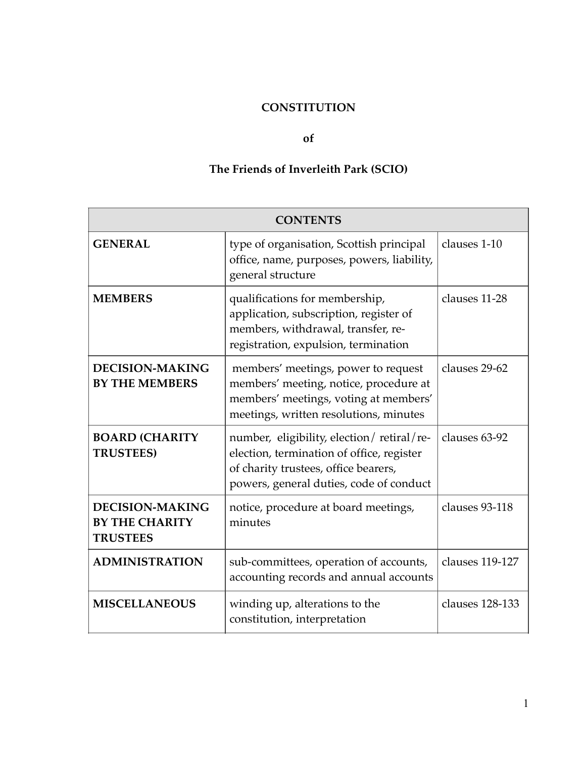# **CONSTITUTION**

#### **of**

# **The Friends of Inverleith Park (SCIO)**

| <b>CONTENTS</b>                                                    |                                                                                                                                                                           |                 |
|--------------------------------------------------------------------|---------------------------------------------------------------------------------------------------------------------------------------------------------------------------|-----------------|
| <b>GENERAL</b>                                                     | type of organisation, Scottish principal<br>office, name, purposes, powers, liability,<br>general structure                                                               | clauses 1-10    |
| <b>MEMBERS</b>                                                     | qualifications for membership,<br>application, subscription, register of<br>members, withdrawal, transfer, re-<br>registration, expulsion, termination                    | clauses 11-28   |
| <b>DECISION-MAKING</b><br><b>BY THE MEMBERS</b>                    | members' meetings, power to request<br>members' meeting, notice, procedure at<br>members' meetings, voting at members'<br>meetings, written resolutions, minutes          | clauses 29-62   |
| <b>BOARD (CHARITY</b><br><b>TRUSTEES)</b>                          | number, eligibility, election/retiral/re-<br>election, termination of office, register<br>of charity trustees, office bearers,<br>powers, general duties, code of conduct | clauses 63-92   |
| <b>DECISION-MAKING</b><br><b>BY THE CHARITY</b><br><b>TRUSTEES</b> | notice, procedure at board meetings,<br>minutes                                                                                                                           | clauses 93-118  |
| <b>ADMINISTRATION</b>                                              | sub-committees, operation of accounts,<br>accounting records and annual accounts                                                                                          | clauses 119-127 |
| <b>MISCELLANEOUS</b>                                               | winding up, alterations to the<br>constitution, interpretation                                                                                                            | clauses 128-133 |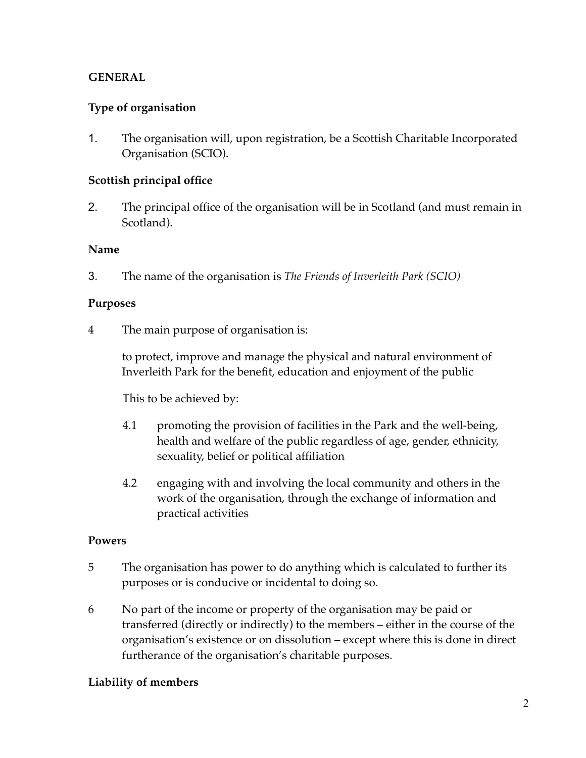# **GENERAL**

# **Type of organisation**

1. The organisation will, upon registration, be a Scottish Charitable Incorporated Organisation (SCIO).

## **Scottish principal office**

2. The principal office of the organisation will be in Scotland (and must remain in Scotland).

### **Name**

3. The name of the organisation is *The Friends of Inverleith Park (SCIO)*

### **Purposes**

4 The main purpose of organisation is:

to protect, improve and manage the physical and natural environment of Inverleith Park for the benefit, education and enjoyment of the public

This to be achieved by:

- 4.1 promoting the provision of facilities in the Park and the well-being, health and welfare of the public regardless of age, gender, ethnicity, sexuality, belief or political affiliation
- 4.2 engaging with and involving the local community and others in the work of the organisation, through the exchange of information and practical activities

## **Powers**

- 5 The organisation has power to do anything which is calculated to further its purposes or is conducive or incidental to doing so.
- 6 No part of the income or property of the organisation may be paid or transferred (directly or indirectly) to the members – either in the course of the organisation's existence or on dissolution – except where this is done in direct furtherance of the organisation's charitable purposes.

## **Liability of members**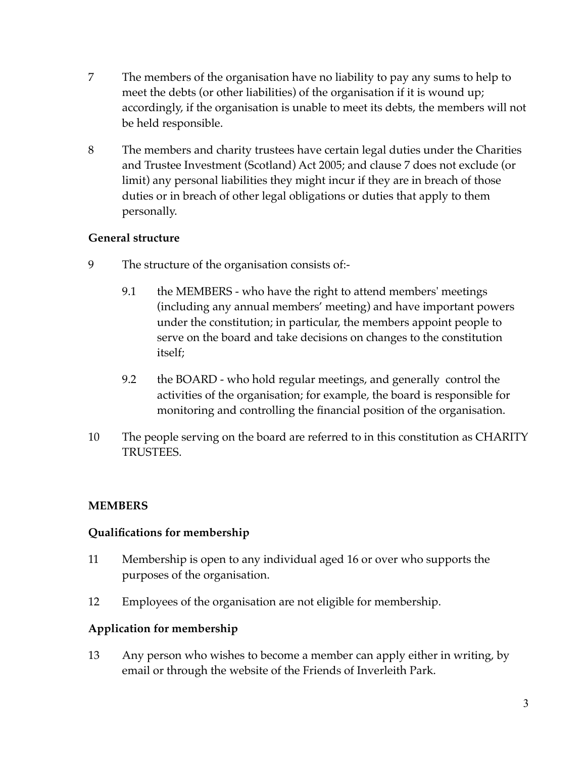- 7 The members of the organisation have no liability to pay any sums to help to meet the debts (or other liabilities) of the organisation if it is wound up; accordingly, if the organisation is unable to meet its debts, the members will not be held responsible.
- 8 The members and charity trustees have certain legal duties under the Charities and Trustee Investment (Scotland) Act 2005; and clause 7 does not exclude (or limit) any personal liabilities they might incur if they are in breach of those duties or in breach of other legal obligations or duties that apply to them personally.

### **General structure**

- 9 The structure of the organisation consists of:-
	- 9.1 the MEMBERS who have the right to attend members' meetings (including any annual members' meeting) and have important powers under the constitution; in particular, the members appoint people to serve on the board and take decisions on changes to the constitution itself;
	- 9.2 the BOARD who hold regular meetings, and generally control the activities of the organisation; for example, the board is responsible for monitoring and controlling the financial position of the organisation.
- 10 The people serving on the board are referred to in this constitution as CHARITY TRUSTEES.

## **MEMBERS**

#### **Qualifications for membership**

- 11 Membership is open to any individual aged 16 or over who supports the purposes of the organisation.
- 12 Employees of the organisation are not eligible for membership.

## **Application for membership**

13 Any person who wishes to become a member can apply either in writing, by email or through the website of the Friends of Inverleith Park.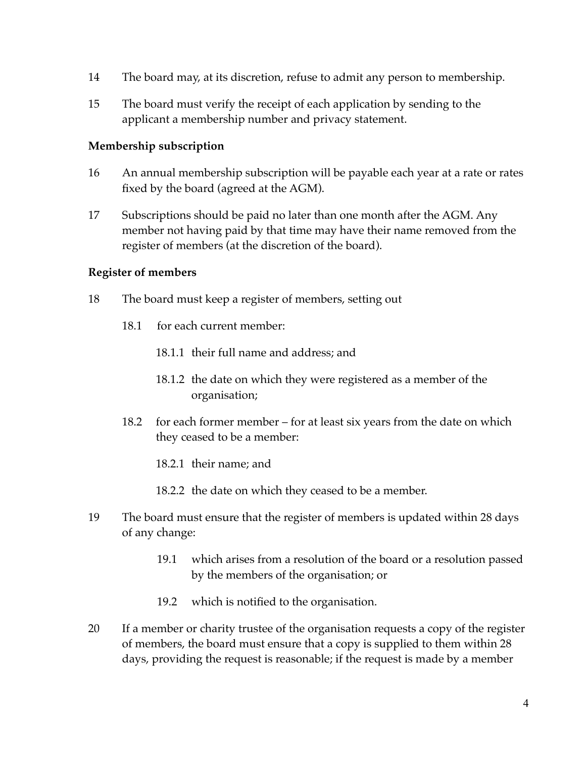- 14 The board may, at its discretion, refuse to admit any person to membership.
- 15 The board must verify the receipt of each application by sending to the applicant a membership number and privacy statement.

#### **Membership subscription**

- 16 An annual membership subscription will be payable each year at a rate or rates fixed by the board (agreed at the AGM).
- 17 Subscriptions should be paid no later than one month after the AGM. Any member not having paid by that time may have their name removed from the register of members (at the discretion of the board).

#### **Register of members**

- 18 The board must keep a register of members, setting out
	- 18.1 for each current member:
		- 18.1.1 their full name and address; and
		- 18.1.2 the date on which they were registered as a member of the organisation;
	- 18.2 for each former member for at least six years from the date on which they ceased to be a member:
		- 18.2.1 their name; and
		- 18.2.2 the date on which they ceased to be a member.
- 19 The board must ensure that the register of members is updated within 28 days of any change:
	- 19.1 which arises from a resolution of the board or a resolution passed by the members of the organisation; or
	- 19.2 which is notified to the organisation.
- 20 If a member or charity trustee of the organisation requests a copy of the register of members, the board must ensure that a copy is supplied to them within 28 days, providing the request is reasonable; if the request is made by a member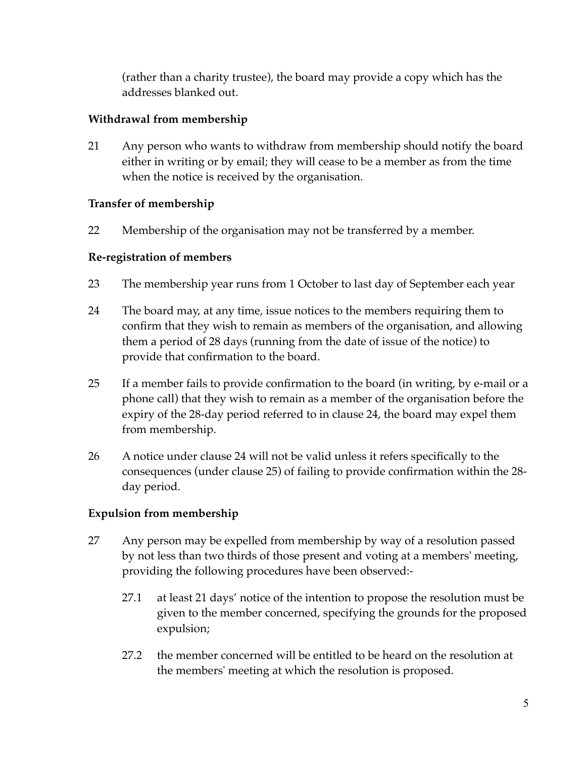(rather than a charity trustee), the board may provide a copy which has the addresses blanked out.

## **Withdrawal from membership**

21 Any person who wants to withdraw from membership should notify the board either in writing or by email; they will cease to be a member as from the time when the notice is received by the organisation.

### **Transfer of membership**

22 Membership of the organisation may not be transferred by a member.

### **Re-registration of members**

- 23 The membership year runs from 1 October to last day of September each year
- 24 The board may, at any time, issue notices to the members requiring them to confirm that they wish to remain as members of the organisation, and allowing them a period of 28 days (running from the date of issue of the notice) to provide that confirmation to the board.
- 25 If a member fails to provide confirmation to the board (in writing, by e-mail or a phone call) that they wish to remain as a member of the organisation before the expiry of the 28-day period referred to in clause 24, the board may expel them from membership.
- 26 A notice under clause 24 will not be valid unless it refers specifically to the consequences (under clause 25) of failing to provide confirmation within the 28 day period.

## **Expulsion from membership**

- 27 Any person may be expelled from membership by way of a resolution passed by not less than two thirds of those present and voting at a members' meeting, providing the following procedures have been observed:-
	- 27.1 at least 21 days' notice of the intention to propose the resolution must be given to the member concerned, specifying the grounds for the proposed expulsion;
	- 27.2 the member concerned will be entitled to be heard on the resolution at the members' meeting at which the resolution is proposed.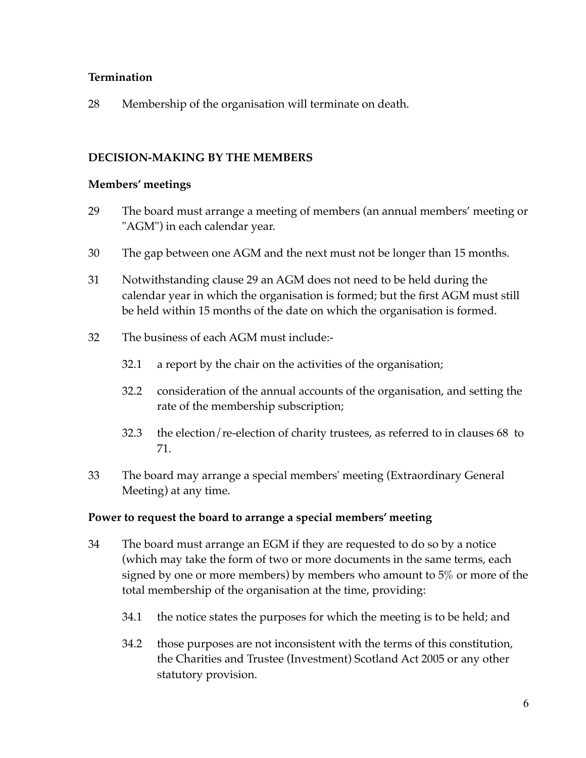## **Termination**

28 Membership of the organisation will terminate on death.

## **DECISION-MAKING BY THE MEMBERS**

#### **Members' meetings**

- 29 The board must arrange a meeting of members (an annual members' meeting or "AGM") in each calendar year.
- 30 The gap between one AGM and the next must not be longer than 15 months.
- 31 Notwithstanding clause 29 an AGM does not need to be held during the calendar year in which the organisation is formed; but the first AGM must still be held within 15 months of the date on which the organisation is formed.
- 32 The business of each AGM must include:-
	- 32.1 a report by the chair on the activities of the organisation;
	- 32.2 consideration of the annual accounts of the organisation, and setting the rate of the membership subscription;
	- 32.3 the election/re-election of charity trustees, as referred to in clauses 68 to 71.
- 33 The board may arrange a special members' meeting (Extraordinary General Meeting) at any time.

#### **Power to request the board to arrange a special members' meeting**

- 34 The board must arrange an EGM if they are requested to do so by a notice (which may take the form of two or more documents in the same terms, each signed by one or more members) by members who amount to 5% or more of the total membership of the organisation at the time, providing:
	- 34.1 the notice states the purposes for which the meeting is to be held; and
	- 34.2 those purposes are not inconsistent with the terms of this constitution, the Charities and Trustee (Investment) Scotland Act 2005 or any other statutory provision.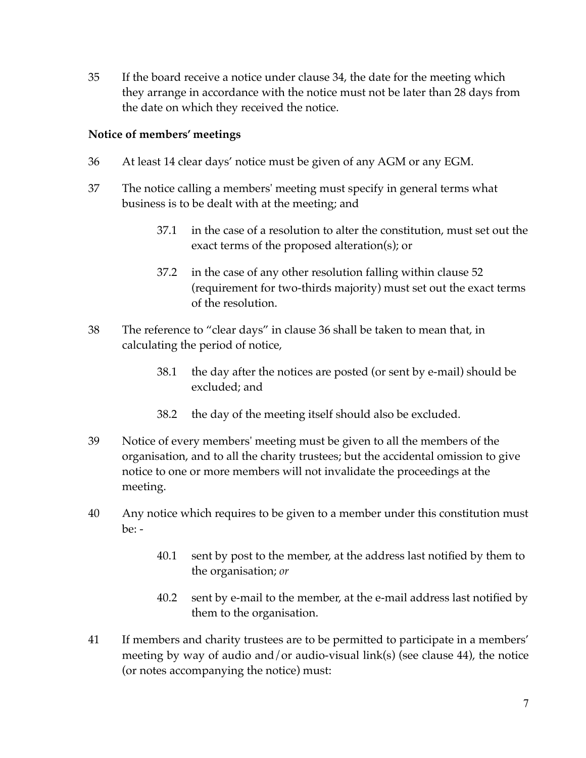35 If the board receive a notice under clause 34, the date for the meeting which they arrange in accordance with the notice must not be later than 28 days from the date on which they received the notice.

## **Notice of members' meetings**

- 36 At least 14 clear days' notice must be given of any AGM or any EGM.
- 37 The notice calling a members' meeting must specify in general terms what business is to be dealt with at the meeting; and
	- 37.1 in the case of a resolution to alter the constitution, must set out the exact terms of the proposed alteration(s); or
	- 37.2 in the case of any other resolution falling within clause 52 (requirement for two-thirds majority) must set out the exact terms of the resolution.
- 38 The reference to "clear days" in clause 36 shall be taken to mean that, in calculating the period of notice,
	- 38.1 the day after the notices are posted (or sent by e-mail) should be excluded; and
	- 38.2 the day of the meeting itself should also be excluded.
- 39 Notice of every members' meeting must be given to all the members of the organisation, and to all the charity trustees; but the accidental omission to give notice to one or more members will not invalidate the proceedings at the meeting.
- 40 Any notice which requires to be given to a member under this constitution must be: -
	- 40.1 sent by post to the member, at the address last notified by them to the organisation; *or*
	- 40.2 sent by e-mail to the member, at the e-mail address last notified by them to the organisation.
- 41 If members and charity trustees are to be permitted to participate in a members' meeting by way of audio and/or audio-visual link(s) (see clause 44), the notice (or notes accompanying the notice) must: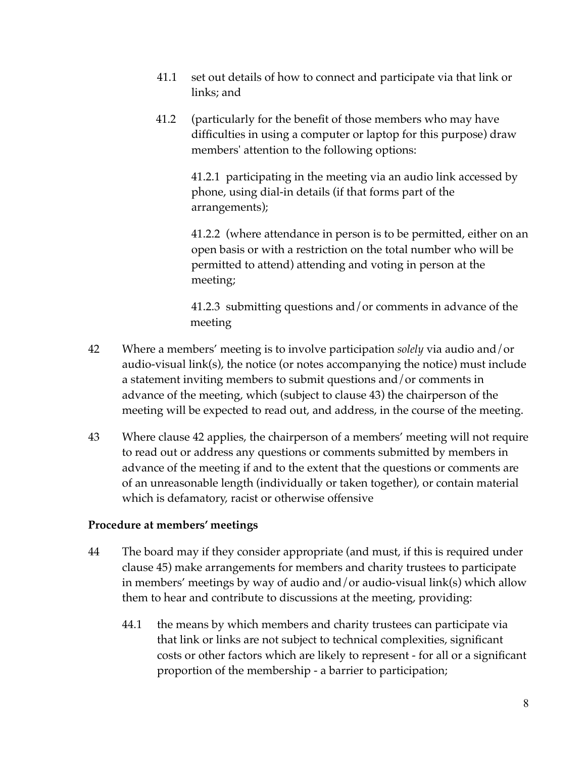- 41.1 set out details of how to connect and participate via that link or links; and
- 41.2 (particularly for the benefit of those members who may have difficulties in using a computer or laptop for this purpose) draw members' attention to the following options:

41.2.1 participating in the meeting via an audio link accessed by phone, using dial-in details (if that forms part of the arrangements);

41.2.2 (where attendance in person is to be permitted, either on an open basis or with a restriction on the total number who will be permitted to attend) attending and voting in person at the meeting;

41.2.3 submitting questions and/or comments in advance of the meeting

- 42 Where a members' meeting is to involve participation *solely* via audio and/or audio-visual link(s), the notice (or notes accompanying the notice) must include a statement inviting members to submit questions and/or comments in advance of the meeting, which (subject to clause 43) the chairperson of the meeting will be expected to read out, and address, in the course of the meeting.
- 43 Where clause 42 applies, the chairperson of a members' meeting will not require to read out or address any questions or comments submitted by members in advance of the meeting if and to the extent that the questions or comments are of an unreasonable length (individually or taken together), or contain material which is defamatory, racist or otherwise offensive

#### **Procedure at members' meetings**

- 44 The board may if they consider appropriate (and must, if this is required under clause 45) make arrangements for members and charity trustees to participate in members' meetings by way of audio and/or audio-visual link(s) which allow them to hear and contribute to discussions at the meeting, providing:
	- 44.1 the means by which members and charity trustees can participate via that link or links are not subject to technical complexities, significant costs or other factors which are likely to represent - for all or a significant proportion of the membership - a barrier to participation;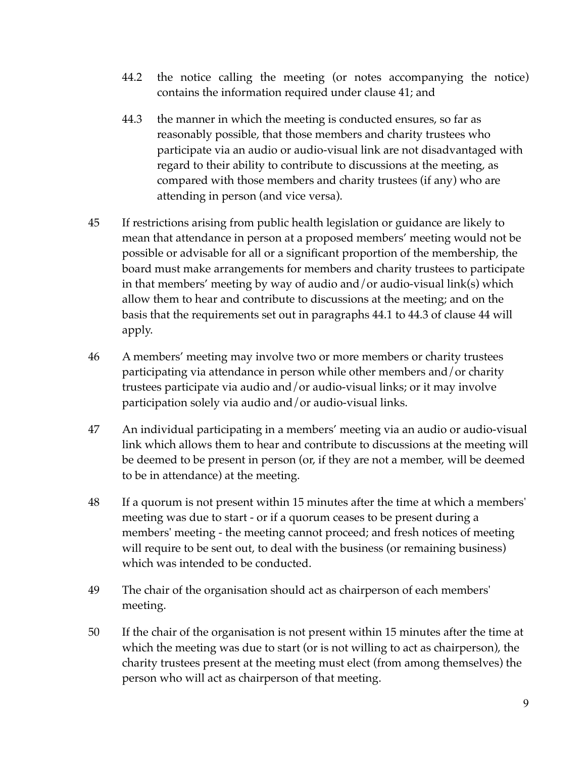- 44.2 the notice calling the meeting (or notes accompanying the notice) contains the information required under clause 41; and
- 44.3 the manner in which the meeting is conducted ensures, so far as reasonably possible, that those members and charity trustees who participate via an audio or audio-visual link are not disadvantaged with regard to their ability to contribute to discussions at the meeting, as compared with those members and charity trustees (if any) who are attending in person (and vice versa).
- 45 If restrictions arising from public health legislation or guidance are likely to mean that attendance in person at a proposed members' meeting would not be possible or advisable for all or a significant proportion of the membership, the board must make arrangements for members and charity trustees to participate in that members' meeting by way of audio and/or audio-visual link(s) which allow them to hear and contribute to discussions at the meeting; and on the basis that the requirements set out in paragraphs 44.1 to 44.3 of clause 44 will apply.
- 46 A members' meeting may involve two or more members or charity trustees participating via attendance in person while other members and/or charity trustees participate via audio and/or audio-visual links; or it may involve participation solely via audio and/or audio-visual links.
- 47 An individual participating in a members' meeting via an audio or audio-visual link which allows them to hear and contribute to discussions at the meeting will be deemed to be present in person (or, if they are not a member, will be deemed to be in attendance) at the meeting.
- 48 If a quorum is not present within 15 minutes after the time at which a members' meeting was due to start - or if a quorum ceases to be present during a members' meeting - the meeting cannot proceed; and fresh notices of meeting will require to be sent out, to deal with the business (or remaining business) which was intended to be conducted.
- 49 The chair of the organisation should act as chairperson of each members' meeting.
- 50 If the chair of the organisation is not present within 15 minutes after the time at which the meeting was due to start (or is not willing to act as chairperson), the charity trustees present at the meeting must elect (from among themselves) the person who will act as chairperson of that meeting.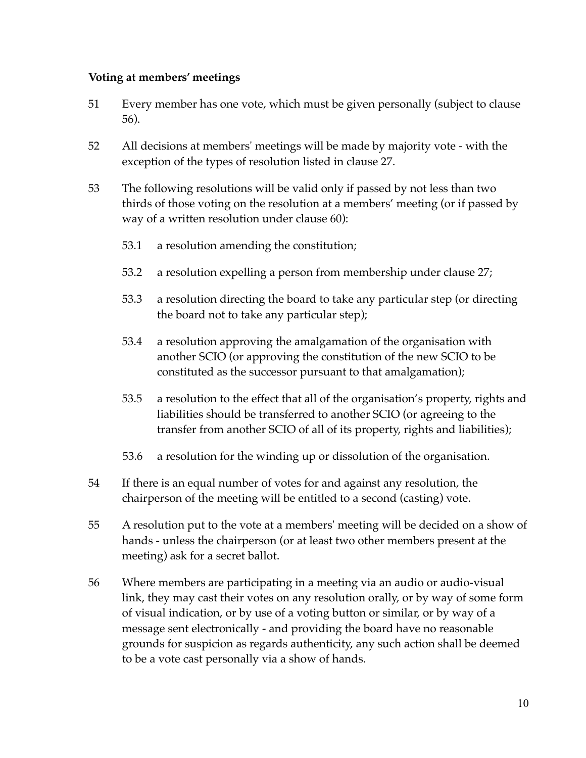### **Voting at members' meetings**

- 51 Every member has one vote, which must be given personally (subject to clause 56).
- 52 All decisions at members' meetings will be made by majority vote with the exception of the types of resolution listed in clause 27.
- 53 The following resolutions will be valid only if passed by not less than two thirds of those voting on the resolution at a members' meeting (or if passed by way of a written resolution under clause 60):
	- 53.1 a resolution amending the constitution;
	- 53.2 a resolution expelling a person from membership under clause 27;
	- 53.3 a resolution directing the board to take any particular step (or directing the board not to take any particular step);
	- 53.4 a resolution approving the amalgamation of the organisation with another SCIO (or approving the constitution of the new SCIO to be constituted as the successor pursuant to that amalgamation);
	- 53.5 a resolution to the effect that all of the organisation's property, rights and liabilities should be transferred to another SCIO (or agreeing to the transfer from another SCIO of all of its property, rights and liabilities);
	- 53.6 a resolution for the winding up or dissolution of the organisation.
- 54 If there is an equal number of votes for and against any resolution, the chairperson of the meeting will be entitled to a second (casting) vote.
- 55 A resolution put to the vote at a members' meeting will be decided on a show of hands - unless the chairperson (or at least two other members present at the meeting) ask for a secret ballot.
- 56 Where members are participating in a meeting via an audio or audio-visual link, they may cast their votes on any resolution orally, or by way of some form of visual indication, or by use of a voting button or similar, or by way of a message sent electronically - and providing the board have no reasonable grounds for suspicion as regards authenticity, any such action shall be deemed to be a vote cast personally via a show of hands.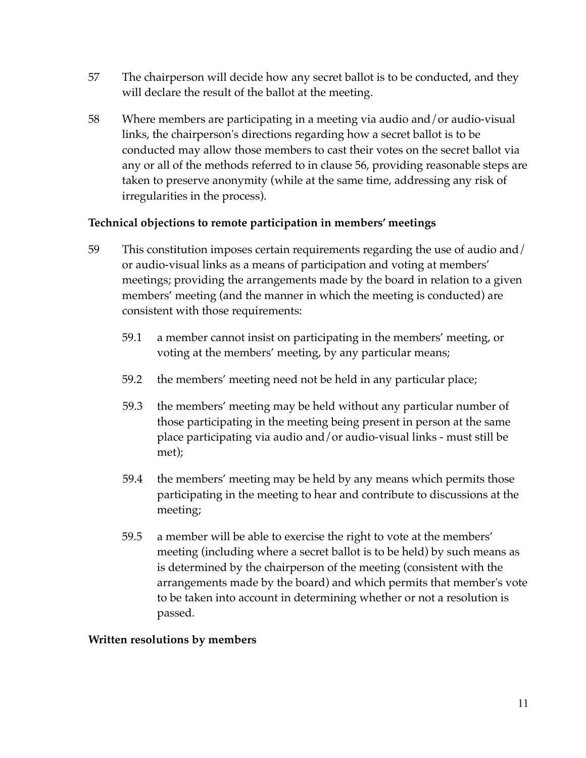- 57 The chairperson will decide how any secret ballot is to be conducted, and they will declare the result of the ballot at the meeting.
- 58 Where members are participating in a meeting via audio and/or audio-visual links, the chairperson's directions regarding how a secret ballot is to be conducted may allow those members to cast their votes on the secret ballot via any or all of the methods referred to in clause 56, providing reasonable steps are taken to preserve anonymity (while at the same time, addressing any risk of irregularities in the process).

### **Technical objections to remote participation in members' meetings**

- 59 This constitution imposes certain requirements regarding the use of audio and/ or audio-visual links as a means of participation and voting at members' meetings; providing the arrangements made by the board in relation to a given members' meeting (and the manner in which the meeting is conducted) are consistent with those requirements:
	- 59.1 a member cannot insist on participating in the members' meeting, or voting at the members' meeting, by any particular means;
	- 59.2 the members' meeting need not be held in any particular place;
	- 59.3 the members' meeting may be held without any particular number of those participating in the meeting being present in person at the same place participating via audio and/or audio-visual links - must still be met);
	- 59.4 the members' meeting may be held by any means which permits those participating in the meeting to hear and contribute to discussions at the meeting;
	- 59.5 a member will be able to exercise the right to vote at the members' meeting (including where a secret ballot is to be held) by such means as is determined by the chairperson of the meeting (consistent with the arrangements made by the board) and which permits that member's vote to be taken into account in determining whether or not a resolution is passed.

#### **Written resolutions by members**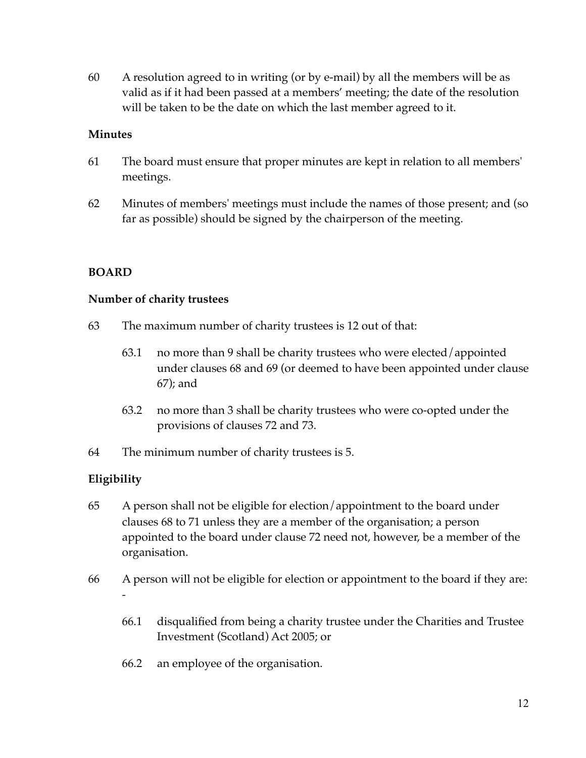60 A resolution agreed to in writing (or by e-mail) by all the members will be as valid as if it had been passed at a members' meeting; the date of the resolution will be taken to be the date on which the last member agreed to it.

#### **Minutes**

- 61 The board must ensure that proper minutes are kept in relation to all members' meetings.
- 62 Minutes of members' meetings must include the names of those present; and (so far as possible) should be signed by the chairperson of the meeting.

#### **BOARD**

#### **Number of charity trustees**

- 63 The maximum number of charity trustees is 12 out of that:
	- 63.1 no more than 9 shall be charity trustees who were elected/appointed under clauses 68 and 69 (or deemed to have been appointed under clause 67); and
	- 63.2 no more than 3 shall be charity trustees who were co-opted under the provisions of clauses 72 and 73.
- 64 The minimum number of charity trustees is 5.

#### **Eligibility**

- 65 A person shall not be eligible for election/appointment to the board under clauses 68 to 71 unless they are a member of the organisation; a person appointed to the board under clause 72 need not, however, be a member of the organisation.
- 66 A person will not be eligible for election or appointment to the board if they are: -
	- 66.1 disqualified from being a charity trustee under the Charities and Trustee Investment (Scotland) Act 2005; or
	- 66.2 an employee of the organisation.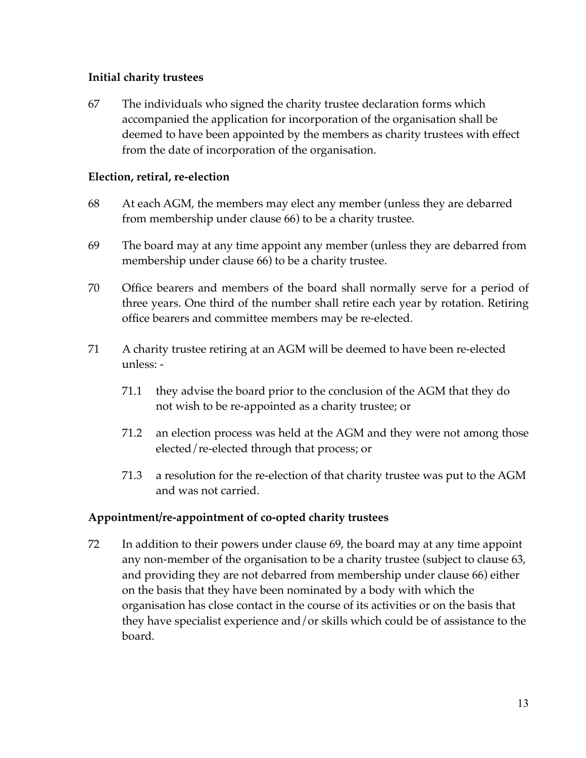## **Initial charity trustees**

67 The individuals who signed the charity trustee declaration forms which accompanied the application for incorporation of the organisation shall be deemed to have been appointed by the members as charity trustees with effect from the date of incorporation of the organisation.

### **Election, retiral, re-election**

- 68 At each AGM, the members may elect any member (unless they are debarred from membership under clause 66) to be a charity trustee.
- 69 The board may at any time appoint any member (unless they are debarred from membership under clause 66) to be a charity trustee.
- 70 Office bearers and members of the board shall normally serve for a period of three years. One third of the number shall retire each year by rotation. Retiring office bearers and committee members may be re-elected.
- 71 A charity trustee retiring at an AGM will be deemed to have been re-elected unless: -
	- 71.1 they advise the board prior to the conclusion of the AGM that they do not wish to be re-appointed as a charity trustee; or
	- 71.2 an election process was held at the AGM and they were not among those elected/re-elected through that process; or
	- 71.3 a resolution for the re-election of that charity trustee was put to the AGM and was not carried.

## **Appointment/re-appointment of co-opted charity trustees**

72 In addition to their powers under clause 69, the board may at any time appoint any non-member of the organisation to be a charity trustee (subject to clause 63, and providing they are not debarred from membership under clause 66) either on the basis that they have been nominated by a body with which the organisation has close contact in the course of its activities or on the basis that they have specialist experience and/or skills which could be of assistance to the board.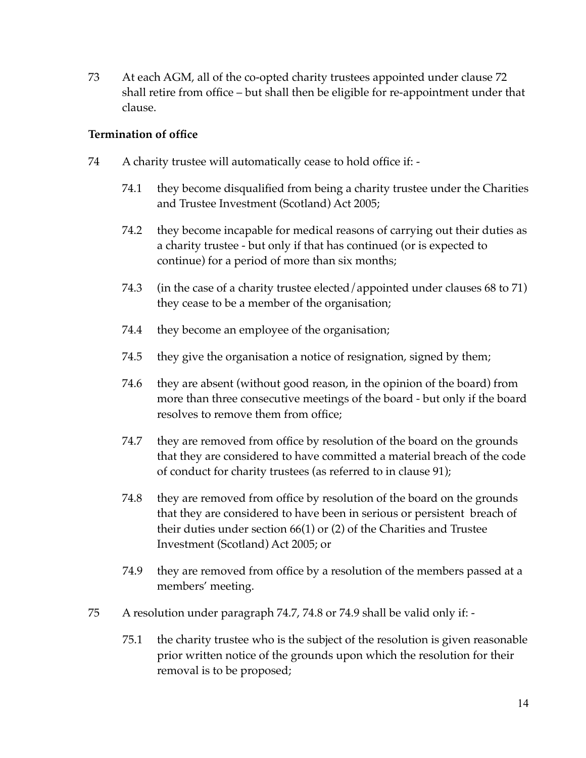73 At each AGM, all of the co-opted charity trustees appointed under clause 72 shall retire from office – but shall then be eligible for re-appointment under that clause.

## **Termination of office**

- 74 A charity trustee will automatically cease to hold office if:
	- 74.1 they become disqualified from being a charity trustee under the Charities and Trustee Investment (Scotland) Act 2005;
	- 74.2 they become incapable for medical reasons of carrying out their duties as a charity trustee - but only if that has continued (or is expected to continue) for a period of more than six months;
	- 74.3 (in the case of a charity trustee elected/appointed under clauses 68 to 71) they cease to be a member of the organisation;
	- 74.4 they become an employee of the organisation;
	- 74.5 they give the organisation a notice of resignation, signed by them;
	- 74.6 they are absent (without good reason, in the opinion of the board) from more than three consecutive meetings of the board - but only if the board resolves to remove them from office;
	- 74.7 they are removed from office by resolution of the board on the grounds that they are considered to have committed a material breach of the code of conduct for charity trustees (as referred to in clause 91);
	- 74.8 they are removed from office by resolution of the board on the grounds that they are considered to have been in serious or persistent breach of their duties under section 66(1) or (2) of the Charities and Trustee Investment (Scotland) Act 2005; or
	- 74.9 they are removed from office by a resolution of the members passed at a members' meeting.
- 75 A resolution under paragraph 74.7, 74.8 or 74.9 shall be valid only if:
	- 75.1 the charity trustee who is the subject of the resolution is given reasonable prior written notice of the grounds upon which the resolution for their removal is to be proposed;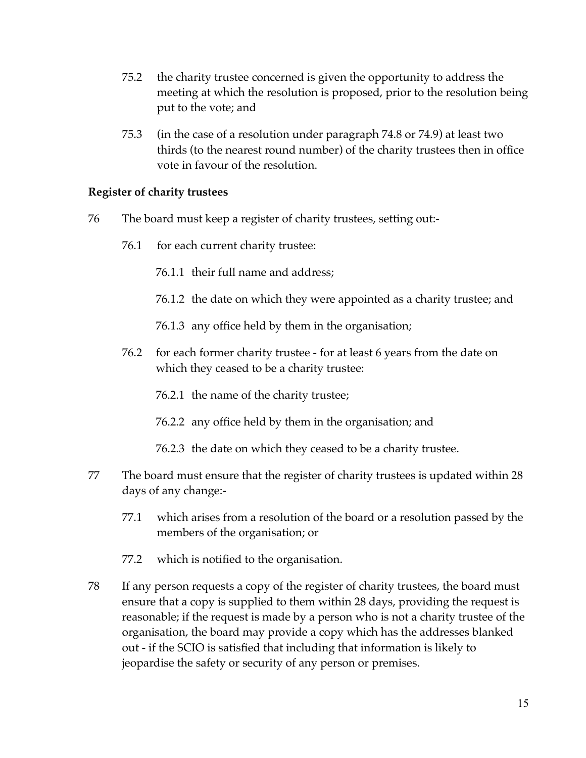- 75.2 the charity trustee concerned is given the opportunity to address the meeting at which the resolution is proposed, prior to the resolution being put to the vote; and
- 75.3 (in the case of a resolution under paragraph 74.8 or 74.9) at least two thirds (to the nearest round number) of the charity trustees then in office vote in favour of the resolution.

#### **Register of charity trustees**

- 76 The board must keep a register of charity trustees, setting out:-
	- 76.1 for each current charity trustee:
		- 76.1.1 their full name and address;
		- 76.1.2 the date on which they were appointed as a charity trustee; and
		- 76.1.3 any office held by them in the organisation;
	- 76.2 for each former charity trustee for at least 6 years from the date on which they ceased to be a charity trustee:
		- 76.2.1 the name of the charity trustee;
		- 76.2.2 any office held by them in the organisation; and
		- 76.2.3 the date on which they ceased to be a charity trustee.
- 77 The board must ensure that the register of charity trustees is updated within 28 days of any change:-
	- 77.1 which arises from a resolution of the board or a resolution passed by the members of the organisation; or
	- 77.2 which is notified to the organisation.
- 78 If any person requests a copy of the register of charity trustees, the board must ensure that a copy is supplied to them within 28 days, providing the request is reasonable; if the request is made by a person who is not a charity trustee of the organisation, the board may provide a copy which has the addresses blanked out - if the SCIO is satisfied that including that information is likely to jeopardise the safety or security of any person or premises.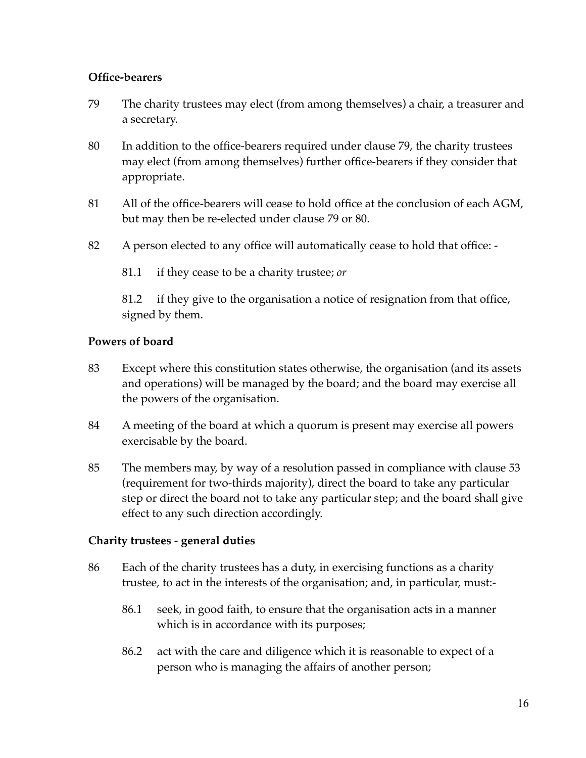## **Office-bearers**

- 79 The charity trustees may elect (from among themselves) a chair, a treasurer and a secretary.
- 80 In addition to the office-bearers required under clause 79, the charity trustees may elect (from among themselves) further office-bearers if they consider that appropriate.
- 81 All of the office-bearers will cease to hold office at the conclusion of each AGM, but may then be re-elected under clause 79 or 80.
- 82 A person elected to any office will automatically cease to hold that office:
	- 81.1 if they cease to be a charity trustee; *or*

81.2 if they give to the organisation a notice of resignation from that office, signed by them.

### **Powers of board**

- 83 Except where this constitution states otherwise, the organisation (and its assets and operations) will be managed by the board; and the board may exercise all the powers of the organisation.
- 84 A meeting of the board at which a quorum is present may exercise all powers exercisable by the board.
- 85 The members may, by way of a resolution passed in compliance with clause 53 (requirement for two-thirds majority), direct the board to take any particular step or direct the board not to take any particular step; and the board shall give effect to any such direction accordingly.

#### **Charity trustees - general duties**

- 86 Each of the charity trustees has a duty, in exercising functions as a charity trustee, to act in the interests of the organisation; and, in particular, must:-
	- 86.1 seek, in good faith, to ensure that the organisation acts in a manner which is in accordance with its purposes;
	- 86.2 act with the care and diligence which it is reasonable to expect of a person who is managing the affairs of another person;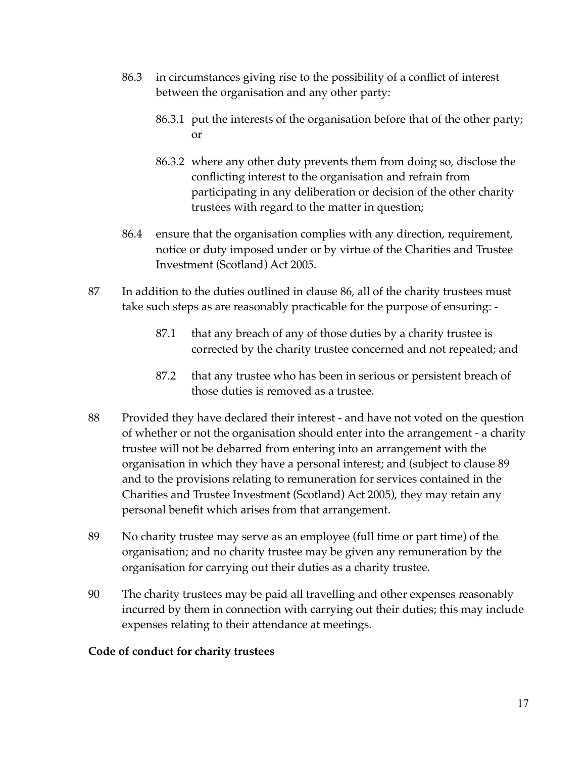- 86.3 in circumstances giving rise to the possibility of a conflict of interest between the organisation and any other party:
	- 86.3.1 put the interests of the organisation before that of the other party; or
	- 86.3.2 where any other duty prevents them from doing so, disclose the conflicting interest to the organisation and refrain from participating in any deliberation or decision of the other charity trustees with regard to the matter in question;
- 86.4 ensure that the organisation complies with any direction, requirement, notice or duty imposed under or by virtue of the Charities and Trustee Investment (Scotland) Act 2005.
- 87 In addition to the duties outlined in clause 86, all of the charity trustees must take such steps as are reasonably practicable for the purpose of ensuring: -
	- 87.1 that any breach of any of those duties by a charity trustee is corrected by the charity trustee concerned and not repeated; and
	- 87.2 that any trustee who has been in serious or persistent breach of those duties is removed as a trustee.
- 88 Provided they have declared their interest and have not voted on the question of whether or not the organisation should enter into the arrangement - a charity trustee will not be debarred from entering into an arrangement with the organisation in which they have a personal interest; and (subject to clause 89 and to the provisions relating to remuneration for services contained in the Charities and Trustee Investment (Scotland) Act 2005), they may retain any personal benefit which arises from that arrangement.
- 89 No charity trustee may serve as an employee (full time or part time) of the organisation; and no charity trustee may be given any remuneration by the organisation for carrying out their duties as a charity trustee.
- 90 The charity trustees may be paid all travelling and other expenses reasonably incurred by them in connection with carrying out their duties; this may include expenses relating to their attendance at meetings.

#### **Code of conduct for charity trustees**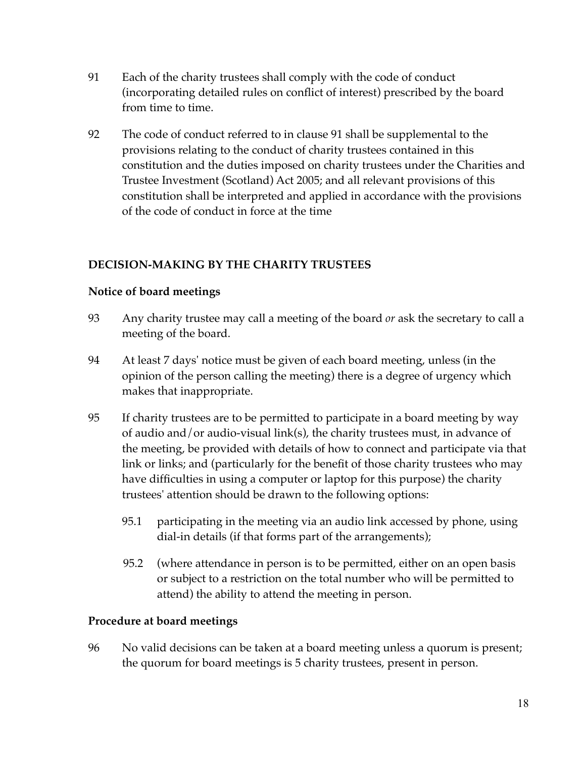- 91 Each of the charity trustees shall comply with the code of conduct (incorporating detailed rules on conflict of interest) prescribed by the board from time to time.
- 92 The code of conduct referred to in clause 91 shall be supplemental to the provisions relating to the conduct of charity trustees contained in this constitution and the duties imposed on charity trustees under the Charities and Trustee Investment (Scotland) Act 2005; and all relevant provisions of this constitution shall be interpreted and applied in accordance with the provisions of the code of conduct in force at the time

# **DECISION-MAKING BY THE CHARITY TRUSTEES**

## **Notice of board meetings**

- 93 Any charity trustee may call a meeting of the board *or* ask the secretary to call a meeting of the board.
- 94 At least 7 days' notice must be given of each board meeting, unless (in the opinion of the person calling the meeting) there is a degree of urgency which makes that inappropriate.
- 95 If charity trustees are to be permitted to participate in a board meeting by way of audio and/or audio-visual link(s), the charity trustees must, in advance of the meeting, be provided with details of how to connect and participate via that link or links; and (particularly for the benefit of those charity trustees who may have difficulties in using a computer or laptop for this purpose) the charity trustees' attention should be drawn to the following options:
	- 95.1 participating in the meeting via an audio link accessed by phone, using dial-in details (if that forms part of the arrangements);
	- 95.2 (where attendance in person is to be permitted, either on an open basis or subject to a restriction on the total number who will be permitted to attend) the ability to attend the meeting in person.

## **Procedure at board meetings**

96 No valid decisions can be taken at a board meeting unless a quorum is present; the quorum for board meetings is 5 charity trustees, present in person.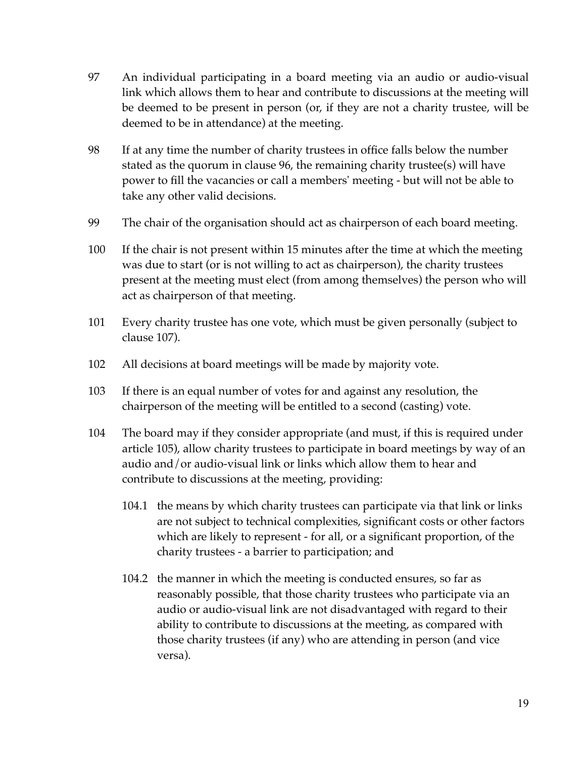- 97 An individual participating in a board meeting via an audio or audio-visual link which allows them to hear and contribute to discussions at the meeting will be deemed to be present in person (or, if they are not a charity trustee, will be deemed to be in attendance) at the meeting.
- 98 If at any time the number of charity trustees in office falls below the number stated as the quorum in clause 96, the remaining charity trustee(s) will have power to fill the vacancies or call a members' meeting - but will not be able to take any other valid decisions.
- 99 The chair of the organisation should act as chairperson of each board meeting.
- 100 If the chair is not present within 15 minutes after the time at which the meeting was due to start (or is not willing to act as chairperson), the charity trustees present at the meeting must elect (from among themselves) the person who will act as chairperson of that meeting.
- 101 Every charity trustee has one vote, which must be given personally (subject to clause 107).
- 102 All decisions at board meetings will be made by majority vote.
- 103 If there is an equal number of votes for and against any resolution, the chairperson of the meeting will be entitled to a second (casting) vote.
- 104 The board may if they consider appropriate (and must, if this is required under article 105), allow charity trustees to participate in board meetings by way of an audio and/or audio-visual link or links which allow them to hear and contribute to discussions at the meeting, providing:
	- 104.1 the means by which charity trustees can participate via that link or links are not subject to technical complexities, significant costs or other factors which are likely to represent - for all, or a significant proportion, of the charity trustees - a barrier to participation; and
	- 104.2 the manner in which the meeting is conducted ensures, so far as reasonably possible, that those charity trustees who participate via an audio or audio-visual link are not disadvantaged with regard to their ability to contribute to discussions at the meeting, as compared with those charity trustees (if any) who are attending in person (and vice versa).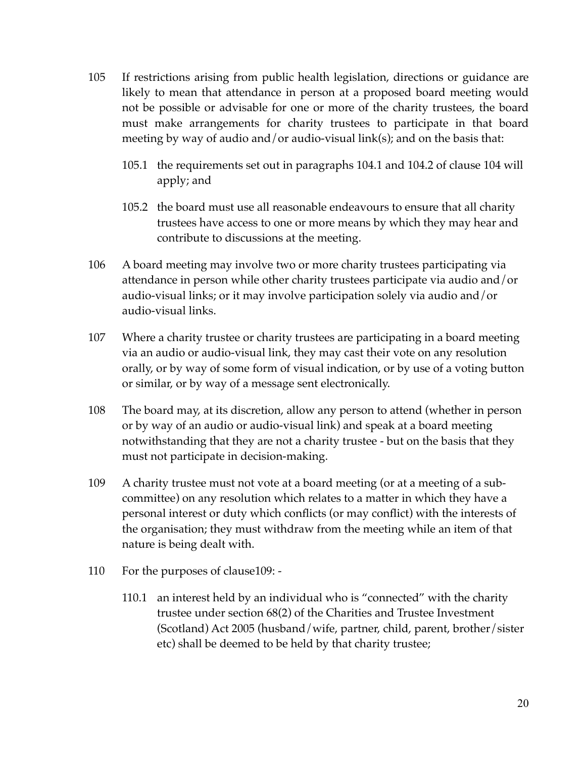- 105 If restrictions arising from public health legislation, directions or guidance are likely to mean that attendance in person at a proposed board meeting would not be possible or advisable for one or more of the charity trustees, the board must make arrangements for charity trustees to participate in that board meeting by way of audio and/or audio-visual link(s); and on the basis that:
	- 105.1 the requirements set out in paragraphs 104.1 and 104.2 of clause 104 will apply; and
	- 105.2 the board must use all reasonable endeavours to ensure that all charity trustees have access to one or more means by which they may hear and contribute to discussions at the meeting.
- 106 A board meeting may involve two or more charity trustees participating via attendance in person while other charity trustees participate via audio and/or audio-visual links; or it may involve participation solely via audio and/or audio-visual links.
- 107 Where a charity trustee or charity trustees are participating in a board meeting via an audio or audio-visual link, they may cast their vote on any resolution orally, or by way of some form of visual indication, or by use of a voting button or similar, or by way of a message sent electronically.
- 108 The board may, at its discretion, allow any person to attend (whether in person or by way of an audio or audio-visual link) and speak at a board meeting notwithstanding that they are not a charity trustee - but on the basis that they must not participate in decision-making.
- 109 A charity trustee must not vote at a board meeting (or at a meeting of a subcommittee) on any resolution which relates to a matter in which they have a personal interest or duty which conflicts (or may conflict) with the interests of the organisation; they must withdraw from the meeting while an item of that nature is being dealt with.
- 110 For the purposes of clause109:
	- 110.1 an interest held by an individual who is "connected" with the charity trustee under section 68(2) of the Charities and Trustee Investment (Scotland) Act 2005 (husband/wife, partner, child, parent, brother/sister etc) shall be deemed to be held by that charity trustee;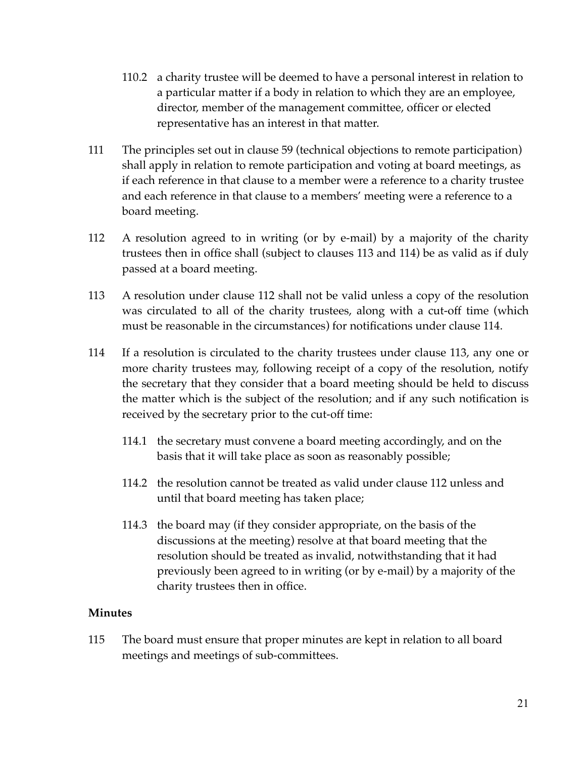- 110.2 a charity trustee will be deemed to have a personal interest in relation to a particular matter if a body in relation to which they are an employee, director, member of the management committee, officer or elected representative has an interest in that matter.
- 111 The principles set out in clause 59 (technical objections to remote participation) shall apply in relation to remote participation and voting at board meetings, as if each reference in that clause to a member were a reference to a charity trustee and each reference in that clause to a members' meeting were a reference to a board meeting.
- 112 A resolution agreed to in writing (or by e-mail) by a majority of the charity trustees then in office shall (subject to clauses 113 and 114) be as valid as if duly passed at a board meeting.
- 113 A resolution under clause 112 shall not be valid unless a copy of the resolution was circulated to all of the charity trustees, along with a cut-off time (which must be reasonable in the circumstances) for notifications under clause 114.
- 114 If a resolution is circulated to the charity trustees under clause 113, any one or more charity trustees may, following receipt of a copy of the resolution, notify the secretary that they consider that a board meeting should be held to discuss the matter which is the subject of the resolution; and if any such notification is received by the secretary prior to the cut-off time:
	- 114.1 the secretary must convene a board meeting accordingly, and on the basis that it will take place as soon as reasonably possible;
	- 114.2 the resolution cannot be treated as valid under clause 112 unless and until that board meeting has taken place;
	- 114.3 the board may (if they consider appropriate, on the basis of the discussions at the meeting) resolve at that board meeting that the resolution should be treated as invalid, notwithstanding that it had previously been agreed to in writing (or by e-mail) by a majority of the charity trustees then in office.

## **Minutes**

115 The board must ensure that proper minutes are kept in relation to all board meetings and meetings of sub-committees.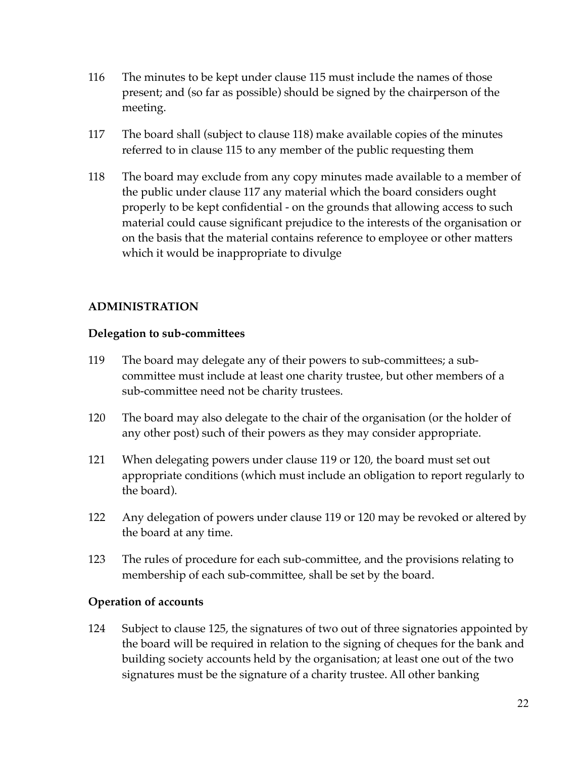- 116 The minutes to be kept under clause 115 must include the names of those present; and (so far as possible) should be signed by the chairperson of the meeting.
- 117 The board shall (subject to clause 118) make available copies of the minutes referred to in clause 115 to any member of the public requesting them
- 118 The board may exclude from any copy minutes made available to a member of the public under clause 117 any material which the board considers ought properly to be kept confidential - on the grounds that allowing access to such material could cause significant prejudice to the interests of the organisation or on the basis that the material contains reference to employee or other matters which it would be inappropriate to divulge

## **ADMINISTRATION**

#### **Delegation to sub-committees**

- 119 The board may delegate any of their powers to sub-committees; a subcommittee must include at least one charity trustee, but other members of a sub-committee need not be charity trustees.
- 120 The board may also delegate to the chair of the organisation (or the holder of any other post) such of their powers as they may consider appropriate.
- 121 When delegating powers under clause 119 or 120, the board must set out appropriate conditions (which must include an obligation to report regularly to the board).
- 122 Any delegation of powers under clause 119 or 120 may be revoked or altered by the board at any time.
- 123 The rules of procedure for each sub-committee, and the provisions relating to membership of each sub-committee, shall be set by the board.

#### **Operation of accounts**

124 Subject to clause 125, the signatures of two out of three signatories appointed by the board will be required in relation to the signing of cheques for the bank and building society accounts held by the organisation; at least one out of the two signatures must be the signature of a charity trustee. All other banking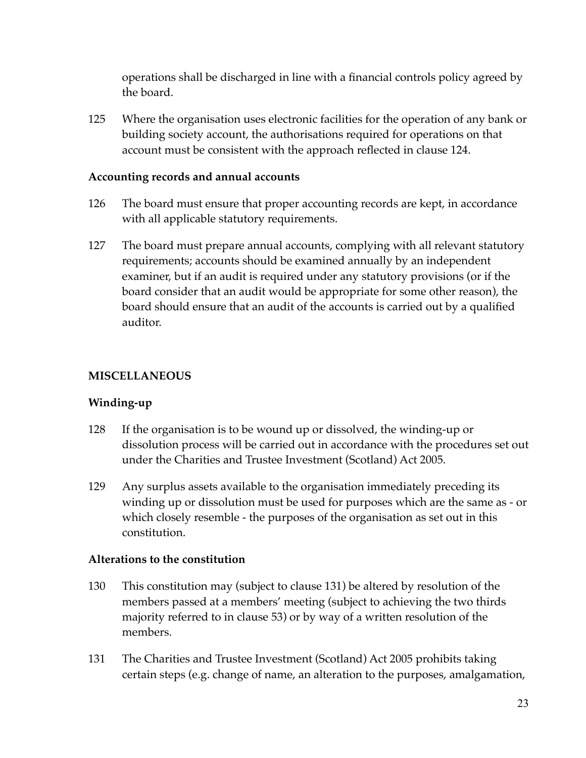operations shall be discharged in line with a financial controls policy agreed by the board.

125 Where the organisation uses electronic facilities for the operation of any bank or building society account, the authorisations required for operations on that account must be consistent with the approach reflected in clause 124.

#### **Accounting records and annual accounts**

- 126 The board must ensure that proper accounting records are kept, in accordance with all applicable statutory requirements.
- 127 The board must prepare annual accounts, complying with all relevant statutory requirements; accounts should be examined annually by an independent examiner, but if an audit is required under any statutory provisions (or if the board consider that an audit would be appropriate for some other reason), the board should ensure that an audit of the accounts is carried out by a qualified auditor.

### **MISCELLANEOUS**

#### **Winding-up**

- 128 If the organisation is to be wound up or dissolved, the winding-up or dissolution process will be carried out in accordance with the procedures set out under the Charities and Trustee Investment (Scotland) Act 2005.
- 129 Any surplus assets available to the organisation immediately preceding its winding up or dissolution must be used for purposes which are the same as - or which closely resemble - the purposes of the organisation as set out in this constitution.

#### **Alterations to the constitution**

- 130 This constitution may (subject to clause 131) be altered by resolution of the members passed at a members' meeting (subject to achieving the two thirds majority referred to in clause 53) or by way of a written resolution of the members.
- 131 The Charities and Trustee Investment (Scotland) Act 2005 prohibits taking certain steps (e.g. change of name, an alteration to the purposes, amalgamation,